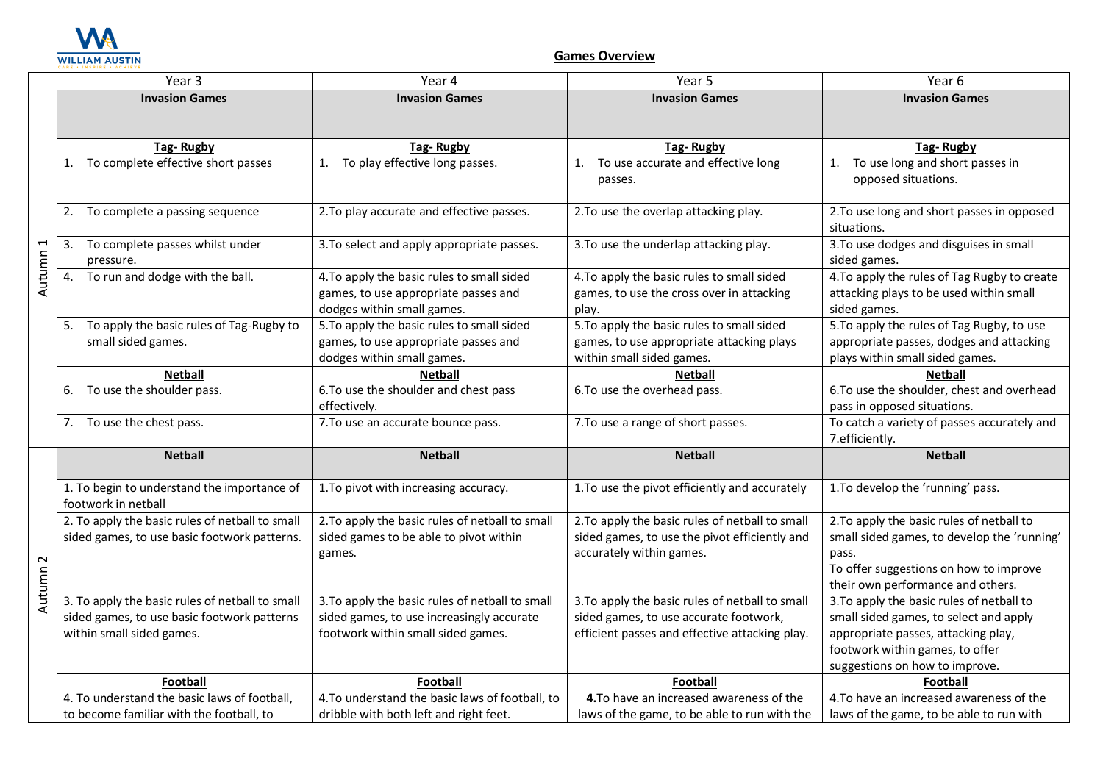

## **Games Overview**

|          | Year 3                                          | Year 4                                          | Year 5                                          | Year 6                                       |
|----------|-------------------------------------------------|-------------------------------------------------|-------------------------------------------------|----------------------------------------------|
|          | <b>Invasion Games</b>                           | <b>Invasion Games</b>                           | <b>Invasion Games</b>                           | <b>Invasion Games</b>                        |
|          |                                                 |                                                 |                                                 |                                              |
|          |                                                 |                                                 |                                                 |                                              |
|          | <b>Tag-Rugby</b>                                | <b>Tag-Rugby</b>                                | <b>Tag-Rugby</b>                                | <b>Tag-Rugby</b>                             |
|          | 1. To complete effective short passes           | To play effective long passes.<br>1.            | To use accurate and effective long<br>1.        | To use long and short passes in<br>1.        |
|          |                                                 |                                                 | passes.                                         | opposed situations.                          |
|          | 2. To complete a passing sequence               | 2. To play accurate and effective passes.       | 2. To use the overlap attacking play.           | 2. To use long and short passes in opposed   |
|          |                                                 |                                                 |                                                 | situations.                                  |
|          | To complete passes whilst under<br>3.           | 3. To select and apply appropriate passes.      | 3. To use the underlap attacking play.          | 3. To use dodges and disguises in small      |
| Autumn 1 | pressure.                                       |                                                 |                                                 | sided games.                                 |
|          | To run and dodge with the ball.<br>4.           | 4. To apply the basic rules to small sided      | 4. To apply the basic rules to small sided      | 4. To apply the rules of Tag Rugby to create |
|          |                                                 | games, to use appropriate passes and            | games, to use the cross over in attacking       | attacking plays to be used within small      |
|          |                                                 | dodges within small games.                      | play.                                           | sided games.                                 |
|          | To apply the basic rules of Tag-Rugby to        | 5. To apply the basic rules to small sided      | 5. To apply the basic rules to small sided      | 5. To apply the rules of Tag Rugby, to use   |
|          | small sided games.                              | games, to use appropriate passes and            | games, to use appropriate attacking plays       | appropriate passes, dodges and attacking     |
|          |                                                 | dodges within small games.                      | within small sided games.                       | plays within small sided games.              |
|          | <b>Netball</b>                                  | <b>Netball</b>                                  | <b>Netball</b>                                  | <b>Netball</b>                               |
|          | To use the shoulder pass.<br>6.                 | 6. To use the shoulder and chest pass           | 6. To use the overhead pass.                    | 6. To use the shoulder, chest and overhead   |
|          |                                                 | effectively.                                    |                                                 | pass in opposed situations.                  |
|          | 7. To use the chest pass.                       | 7. To use an accurate bounce pass.              | 7. To use a range of short passes.              | To catch a variety of passes accurately and  |
|          | <b>Netball</b>                                  | <b>Netball</b>                                  | <b>Netball</b>                                  | 7.efficiently.<br><b>Netball</b>             |
|          |                                                 |                                                 |                                                 |                                              |
|          | 1. To begin to understand the importance of     | 1. To pivot with increasing accuracy.           | 1. To use the pivot efficiently and accurately  | 1. To develop the 'running' pass.            |
|          | footwork in netball                             |                                                 |                                                 |                                              |
|          | 2. To apply the basic rules of netball to small | 2. To apply the basic rules of netball to small | 2. To apply the basic rules of netball to small | 2. To apply the basic rules of netball to    |
|          | sided games, to use basic footwork patterns.    | sided games to be able to pivot within          | sided games, to use the pivot efficiently and   | small sided games, to develop the 'running'  |
| $\sim$   |                                                 | games.                                          | accurately within games.                        | pass.                                        |
|          |                                                 |                                                 |                                                 | To offer suggestions on how to improve       |
| Autumn   |                                                 |                                                 |                                                 | their own performance and others.            |
|          | 3. To apply the basic rules of netball to small | 3. To apply the basic rules of netball to small | 3. To apply the basic rules of netball to small | 3. To apply the basic rules of netball to    |
|          | sided games, to use basic footwork patterns     | sided games, to use increasingly accurate       | sided games, to use accurate footwork,          | small sided games, to select and apply       |
|          | within small sided games.                       | footwork within small sided games.              | efficient passes and effective attacking play.  | appropriate passes, attacking play,          |
|          |                                                 |                                                 |                                                 | footwork within games, to offer              |
|          |                                                 |                                                 |                                                 | suggestions on how to improve.               |
|          | Football                                        | Football                                        | Football                                        | <b>Football</b>                              |
|          | 4. To understand the basic laws of football,    | 4. To understand the basic laws of football, to | 4. To have an increased awareness of the        | 4. To have an increased awareness of the     |
|          | to become familiar with the football, to        | dribble with both left and right feet.          | laws of the game, to be able to run with the    | laws of the game, to be able to run with     |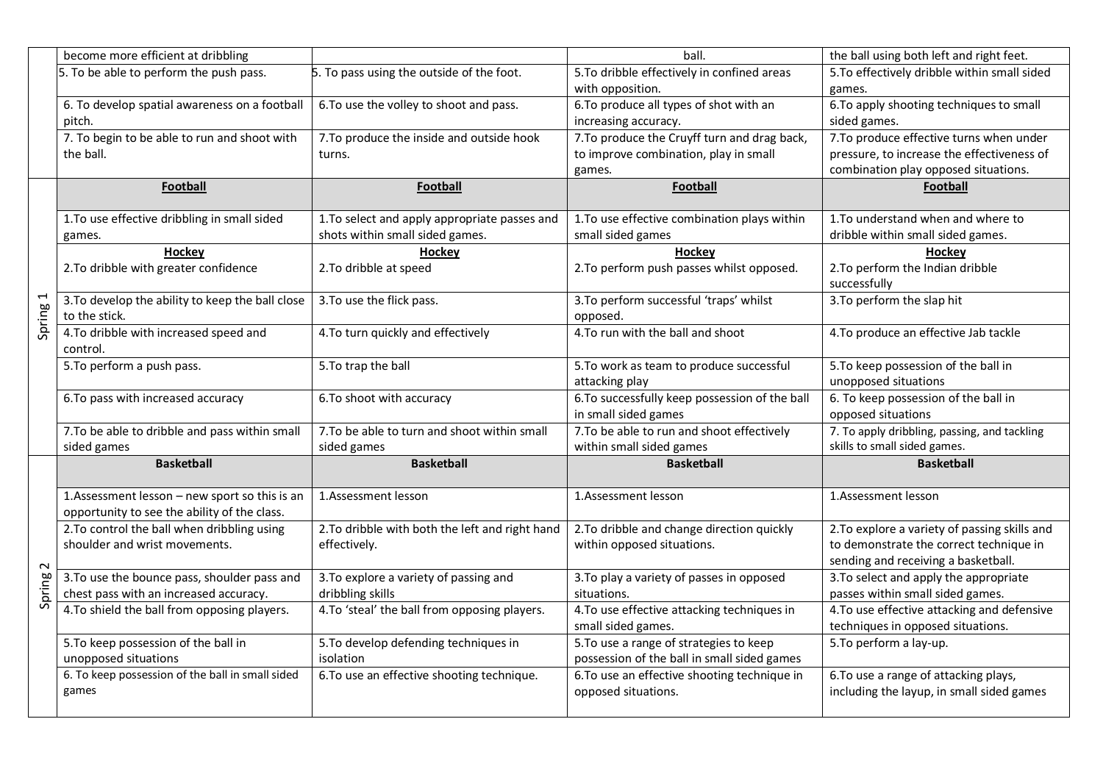|                  | become more efficient at dribbling               |                                                 | ball.                                         | the ball using both left and right feet.         |
|------------------|--------------------------------------------------|-------------------------------------------------|-----------------------------------------------|--------------------------------------------------|
|                  | 5. To be able to perform the push pass.          | 5. To pass using the outside of the foot.       | 5. To dribble effectively in confined areas   | 5. To effectively dribble within small sided     |
|                  |                                                  |                                                 | with opposition.                              | games.                                           |
|                  | 6. To develop spatial awareness on a football    | 6. To use the volley to shoot and pass.         | 6. To produce all types of shot with an       | 6. To apply shooting techniques to small         |
|                  | pitch.                                           |                                                 | increasing accuracy.                          | sided games.                                     |
|                  | 7. To begin to be able to run and shoot with     | 7. To produce the inside and outside hook       | 7. To produce the Cruyff turn and drag back,  | 7. To produce effective turns when under         |
|                  | the ball.                                        | turns.                                          | to improve combination, play in small         | pressure, to increase the effectiveness of       |
|                  |                                                  |                                                 | games.                                        | combination play opposed situations.             |
|                  | <b>Football</b>                                  | <b>Football</b>                                 | Football                                      | <b>Football</b>                                  |
|                  |                                                  |                                                 |                                               |                                                  |
|                  | 1. To use effective dribbling in small sided     | 1. To select and apply appropriate passes and   | 1. To use effective combination plays within  | 1. To understand when and where to               |
|                  | games.                                           | shots within small sided games.                 | small sided games                             | dribble within small sided games.                |
| Spring 1         | Hockey                                           | Hockey                                          | Hockey                                        | Hockey                                           |
|                  | 2. To dribble with greater confidence            | 2. To dribble at speed                          | 2. To perform push passes whilst opposed.     | 2. To perform the Indian dribble<br>successfully |
|                  | 3. To develop the ability to keep the ball close | 3. To use the flick pass.                       | 3. To perform successful 'traps' whilst       | 3. To perform the slap hit                       |
|                  | to the stick.                                    |                                                 | opposed.                                      |                                                  |
|                  | 4. To dribble with increased speed and           | 4. To turn quickly and effectively              | 4. To run with the ball and shoot             | 4. To produce an effective Jab tackle            |
|                  | control.                                         |                                                 |                                               |                                                  |
|                  | 5. To perform a push pass.                       | 5. To trap the ball                             | 5. To work as team to produce successful      | 5. To keep possession of the ball in             |
|                  |                                                  |                                                 | attacking play                                | unopposed situations                             |
|                  | 6. To pass with increased accuracy               | 6. To shoot with accuracy                       | 6.To successfully keep possession of the ball | 6. To keep possession of the ball in             |
|                  |                                                  |                                                 | in small sided games                          | opposed situations                               |
|                  | 7. To be able to dribble and pass within small   | 7. To be able to turn and shoot within small    | 7. To be able to run and shoot effectively    | 7. To apply dribbling, passing, and tackling     |
|                  | sided games                                      | sided games                                     | within small sided games                      | skills to small sided games.                     |
|                  | <b>Basketball</b>                                | <b>Basketball</b>                               | <b>Basketball</b>                             | <b>Basketball</b>                                |
|                  | 1.Assessment lesson - new sport so this is an    | 1.Assessment lesson                             | 1.Assessment lesson                           | 1.Assessment lesson                              |
|                  | opportunity to see the ability of the class.     |                                                 |                                               |                                                  |
|                  | 2. To control the ball when dribbling using      | 2. To dribble with both the left and right hand | 2. To dribble and change direction quickly    | 2. To explore a variety of passing skills and    |
| $\sim$<br>Spring | shoulder and wrist movements.                    | effectively.                                    | within opposed situations.                    | to demonstrate the correct technique in          |
|                  |                                                  |                                                 |                                               | sending and receiving a basketball.              |
|                  | 3. To use the bounce pass, shoulder pass and     | 3. To explore a variety of passing and          | 3. To play a variety of passes in opposed     | 3. To select and apply the appropriate           |
|                  | chest pass with an increased accuracy.           | dribbling skills                                | situations.                                   | passes within small sided games.                 |
|                  | 4. To shield the ball from opposing players.     | 4. To 'steal' the ball from opposing players.   | 4. To use effective attacking techniques in   | 4. To use effective attacking and defensive      |
|                  |                                                  |                                                 | small sided games.                            | techniques in opposed situations.                |
|                  | 5. To keep possession of the ball in             | 5. To develop defending techniques in           | 5. To use a range of strategies to keep       | 5. To perform a lay-up.                          |
|                  | unopposed situations                             | isolation                                       | possession of the ball in small sided games   |                                                  |
|                  | 6. To keep possession of the ball in small sided | 6. To use an effective shooting technique.      | 6. To use an effective shooting technique in  | 6. To use a range of attacking plays,            |
|                  |                                                  |                                                 | opposed situations.                           |                                                  |
|                  | games                                            |                                                 |                                               | including the layup, in small sided games        |